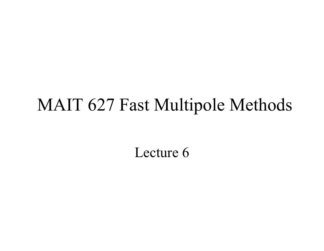#### MAIT 627 Fast Multipole Methods

Lecture 6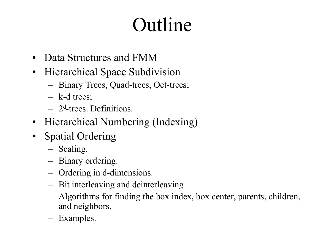## Outline

- Data Structures and FMM
- Hierarchical Space Subdivision
	- Binary Trees, Quad-trees, Oct-trees;
	- k-d trees;
	- $-$  2<sup>d</sup>-trees. Definitions.
- Hierarchical Numbering (Indexing)
- $\bullet$  Spatial Ordering
	- Scaling.
	- Binary ordering.
	- Ordering in d-dimensions.
	- Bit interleaving and deinterleaving
	- Algorithms for finding the box index, box center, parents, children, and neighbors.
	- Examples.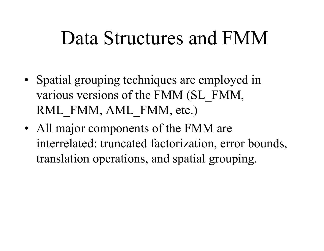## Data Structures and FMM

- Spatial grouping techniques are employed in various versions of the FMM (SL\_FMM, RML\_FMM, AML\_FMM, etc.)
- All major components of the FMM are interrelated: truncated factorization, error bounds, translation operations, and spatial grouping.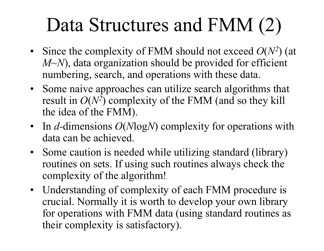# Data Structures and FMM (2)

- Since the complexity of FMM should not exceed  $O(N^2)$  (at *M~N*), data organization should be provided for efficient numbering, search, and operations with these data.
- Some naive approaches can utilize search algorithms that result in  $O(N^2)$  complexity of the FMM (and so they kill the idea of the FMM).
- In *d-*dimensions *O* (*N*log*N*) complexity for operations with data can be achieved.
- Some caution is needed while utilizing standard (library) routines on sets. If using such routines always check the complexity of the algorithm!
- Understanding of complexity of each FMM procedure is crucial. Normally it is worth to develop your own library for operations with FMM data (using standard routines as their complexity is satisfactory).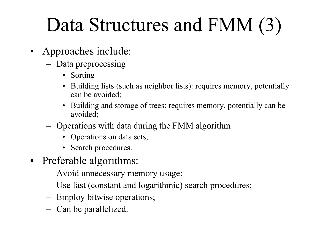# Data Structures and FMM (3)

- Approaches include:
	- Data preprocessing
		- Sorting
		- Building lists (such as neighbor lists): requires memory, potentially can be avoided;
		- $\bullet$  Building and storage of trees: requires memory, potentially can be avoided;
	- Operations with data during the FMM algorithm
		- Operations on data sets;
		- Search procedures.
- Preferable algorithms:
	- Avoid unnecessary memory usage;
	- Use fast (constant and logarithmic) search procedures;
	- Employ bitwise operations;
	- Can be parallelized.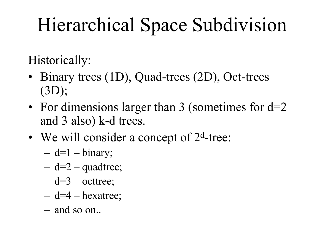# Hierarchical Space Subdivision

Historically:

- Binary trees (1D), Quad-trees (2D), Oct-trees (3D);
- For dimensions larger than 3 (sometimes for  $d=2$ and 3 also) k-d trees.
- We will consider a concept of 2<sup>d</sup>-tree:
	- –d=1 – binary;
	- –d=2 – quadtree;
	- –d=3 – octtree;
	- –d=4 – hexatree;
	- and so on..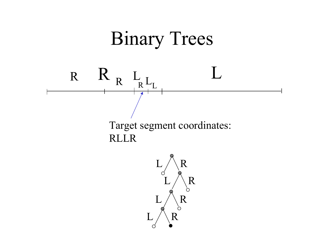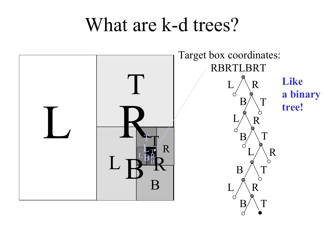## What are k-d trees?

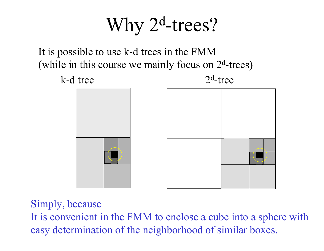Why 2<sup>d</sup>-trees?

It is possible to use k-d trees in the FMM (while in this course we mainly focus on  $2<sup>d</sup>$ -trees)



Simply, because

It is convenient in the FMM to enclose a cube into a sphere with easy determination of the neighborhood of similar boxes.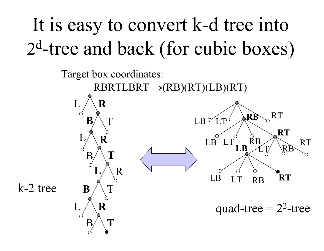#### It is easy to convert k-d tree into 2 <sup>d</sup>-tree and back (for cubic boxes)

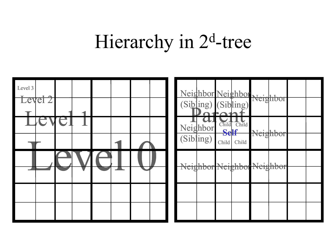## Hierarchy in 2d-tree

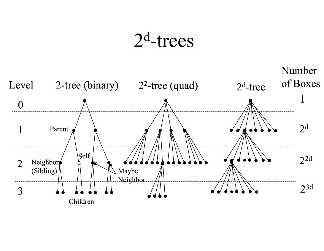## 2d-trees

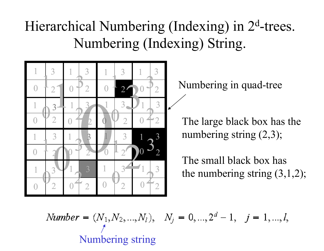#### Hierarchical Numbering (Indexing) in 2<sup>d</sup>-trees. Numbering (Indexing) String.



Numbering in quad-tree

The large black box has the numbering string  $(2,3)$ ;

The small black box hasthe numbering string  $(3,1,2)$ ;

Number = 
$$
(N_1, N_2, ..., N_l)
$$
,  $N_j = 0, ..., 2^d - 1$ ,  $j = 1, ..., l$ ,  
Numbering string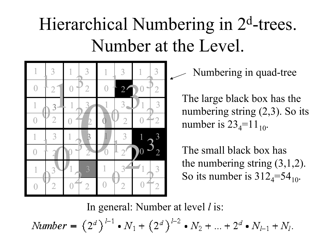## Hierarchical Numbering in 2<sup>d</sup>-trees. Number at the Level.



Numbering in quad-tree

The large black box has the numbering string (2,3). So its number is  $23_{4}$ =11<sub>10</sub>.

The small black box hasthe numbering string (3,1,2). So its number is  $312_4=54_{10}$ .

In general: Number at level *l* is:

Number =  $(2^d)^{l-1} \cdot N_1 + (2^d)^{l-2} \cdot N_2 + ... + 2^d \cdot N_{l-1} + N_l$ .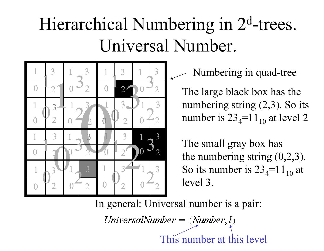## Hierarchical Numbering in 2<sup>d</sup>-trees. Universal Number.



Numbering in quad-tree

The large black box has the numbering string (2,3). So its number is 23 $_4$ =11 $_{10}$  at level 2

The small gray box has the numbering string (0,2,3). So its number is  $23_4=11_{10}$  at level 3.

In general: Universal number is a pair:

UniversalNumber =  $(Number, l)$ 

This number at this level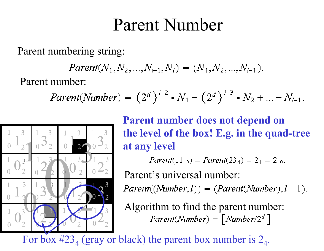#### Parent Number

Parent numbering string:

$$
Parent(N_1, N_2, ..., N_{l-1}, N_l) = (N_1, N_2, ..., N_{l-1}).
$$

Parent number:

*Parent*(*Number*) = 
$$
(2^d)^{l-2} \cdot N_1 + (2^d)^{l-3} \cdot N_2 + ... + N_{l-1}
$$
.



**Parent number does not depend on the level of the box! E.g. in the quad-tree at any level**

$$
Parent(11_{10}) = Parent(23_4) = 2_4 = 2_{10}.
$$

Parent's universal number:

 $Parent(\langle Number, l \rangle) = (Parent(\langle Number), l-1 \rangle).$ 

Algorithm to find the parent number:  $Parent(Number) = \lceil Number/2^d \rceil$ 

For box #23<sub>4</sub> (gray or black) the parent box number is  $2_4$ .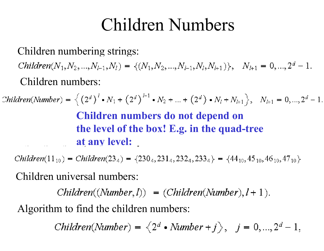#### Children Numbers

Children numbering strings:

 $Children(N_1, N_2, ..., N_{l-1}, N_l) = \{(N_1, N_2, ..., N_{l-1}, N_l, N_{l+1})\}, N_{l+1} = 0, ..., 2^d - 1.$ Children numbers:

Children(Number) =  $\{(2^d)^l \cdot N_1 + (2^d)^{l-1} \cdot N_2 + ... + (2^d) \cdot N_l + N_{l+1}\}, N_{l+1} = 0, ..., 2^d - 1.$ **Children numbers do not depend on the level of the box! E.g. in the quad-tree at any level:**

 $Children(11_{10}) = Children(23_4) = \{230_4, 231_4, 232_4, 233_4\} = \{44_{10}, 45_{10}, 46_{10}, 47_{10}\}$ 

Children universal numbers:

 $Children(\langle Number, I \rangle) = (Children(\langle Number), l+1).$ 

Algorithm to find the children numbers:

Children(Number) =  $\langle 2^d \cdot \text{Number} + j \rangle$ , j = 0,...,  $2^d - 1$ ,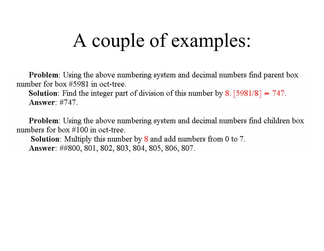## A couple of examples:

Problem: Using the above numbering system and decimal numbers find parent box number for box #5981 in oct-tree.

**Solution**: Find the integer part of division of this number by 8. [5981/8] = 747. Answer:  $\#747$ .

Problem: Using the above numbering system and decimal numbers find children box numbers for box  $\#100$  in oct-tree.

Solution: Multiply this number by 8 and add numbers from 0 to 7. Answer: ##800, 801, 802, 803, 804, 805, 806, 807.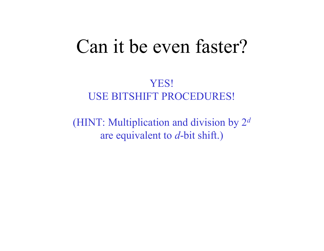#### Can it be even faster?

#### YES! USE BITSHIFT PROCEDURES!

(HINT: Multiplication and division by 2 *d* are equivalent to *d*-bit shift.)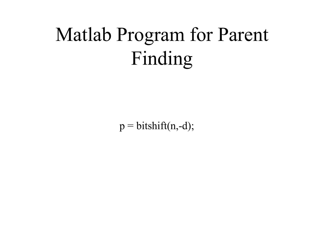## Matlab Program for Parent Finding

 $p = \text{bitshift}(n,-d);$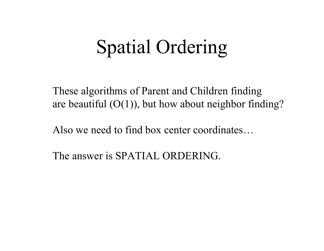## Spatial Ordering

These algorithms of Parent and Children finding are beautiful  $(O(1))$ , but how about neighbor finding?

Also we need to find box center coordinates…

The answer is SPATIAL ORDERING.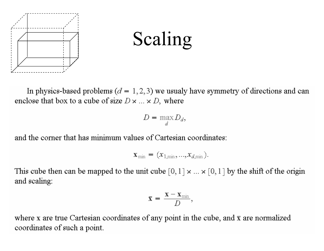

## Scaling

In physics-based problems ( $d = 1, 2, 3$ ) we usualy have symmetry of directions and can enclose that box to a cube of size  $D \times ... \times D$ , where

$$
D = \max_{d} D_d,
$$

and the corner that has minimum values of Cartesian coordinates:

$$
\mathbf{x}_{\min} = (x_{1,\min},...,x_{d,\min}).
$$

This cube then can be mapped to the unit cube  $[0, 1] \times ... \times [0, 1]$  by the shift of the origin and scaling:

$$
\bar{\mathbf{x}} = \frac{\mathbf{x} - \mathbf{x}_{\min}}{D},
$$

where x are true Cartesian coordinates of any point in the cube, and  $\bar{x}$  are normalized coordinates of such a point.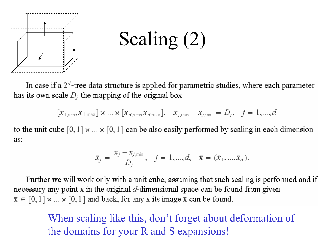

## Scaling (2)

In case if a  $2^d$ -tree data structure is applied for parametric studies, where each parameter has its own scale  $D_i$  the mapping of the original box

$$
[x_{1,\min}, x_{1,\max}] \times ... \times [x_{d,\min}, x_{d,\max}], \quad x_{j,\max} - x_{j,\min} = D_j, \quad j = 1,...,d
$$

to the unit cube  $[0,1] \times ... \times [0,1]$  can be also easily performed by scaling in each dimension as:

$$
\bar{x}_j = \frac{x_j - x_{j,\text{min}}}{D_j}, \quad j = 1, ..., d, \quad \bar{x} = (\bar{x}_1, ..., \bar{x}_d).
$$

Further we will work only with a unit cube, assuming that such scaling is performed and if necessary any point  $x$  in the original  $d$ -dimensional space can be found from given  $\bar{x} \in [0,1] \times ... \times [0,1]$  and back, for any x its image  $\bar{x}$  can be found.

> When scaling like this, don't forget about deformation of the domains for your R and S expansions!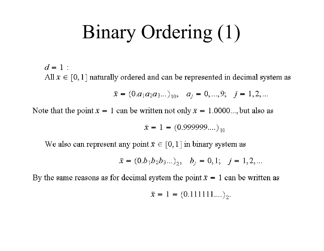# Binary Ordering (1)

 $d = 1$ : All  $\bar{x} \in [0,1]$  naturally ordered and can be represented in decimal system as

$$
\bar{x} = (0.a_1a_2a_3...)_{10}, a_j = 0,...,9; j = 1,2,...
$$

Note that the point  $\bar{x} = 1$  can be written not only  $\bar{x} = 1.0000...$ , but also as

$$
\bar{x} = 1 = (0.999999...)_{10}
$$

We also can represent any point  $\bar{x} \in [0,1]$  in binary system as

$$
\bar{x} = (0.b_1b_2b_3...)_2, b_j = 0, 1; j = 1, 2, ...
$$

By the same reasons as for decimal system the point  $\bar{x} = 1$  can be written as

$$
\bar{x} = 1 = (0.111111...)_2.
$$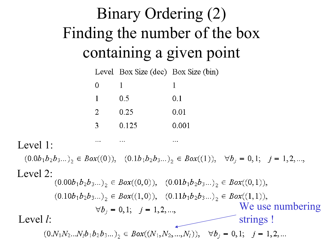## Binary Ordering (2) Finding the number of the box containing a given point

Level Box Size (dec) Box Size (bin)

| 0 |       |       |
|---|-------|-------|
| 1 | 0.5   | 0.1   |
| 2 | 0.25  | 0.01  |
| 3 | 0.125 | 0.001 |

Level 1:

 $(0.0b_1b_2b_3...)_2 \in Box((0)), (0.1b_1b_2b_3...)_2 \in Box((1)), \quad \forall b_j = 0,1; \quad j = 1,2,...,$ Level 2:  $(0.00b_1b_2b_3...)$ <sub>2</sub>  $\in Box((0,0)), (0.01b_1b_2b_3...)$ <sub>2</sub>  $\in Box((0,1)),$  $(0.10b_1b_2b_3...)$ <sub>2</sub>  $\in Box((1,0)), (0.11b_1b_2b_3...)$ <sub>2</sub>  $\in Box((1,1)),$ We use numbering  $\forall b_i = 0, 1; j = 1, 2, ...,$ Level *l*: strings ! $(0.N_1N_2...N_l b_1b_2b_3...)$ <sub>2</sub>  $\in Box((N_1,N_2,...,N_l)), \forall b_j = 0,1; j = 1,2,...$ 

 $\cdots$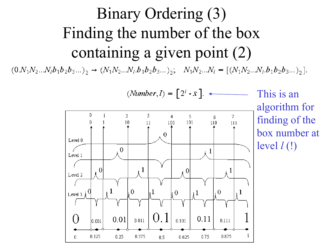#### Binary Ordering (3) Finding the number of the box containing a given point (2)  $(0.N_1N_2...N_l b_1b_2b_3...)_2 \rightarrow (N_1N_2...N_l.b_1b_2b_3...)_2; N_1N_2...N_l = [(N_1N_2...N_l.b_1b_2b_3...)_2].$

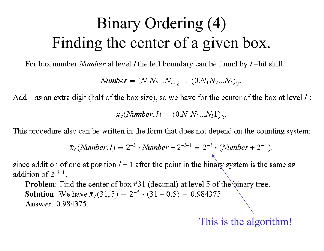### Binary Ordering (4) Finding the center of a given box.

For box number *Number* at level *l* the left boundary can be found by  $l$ -bit shift:

 $Number = (N_1N_2...N_l)_{2} \rightarrow (0.N_1N_2...N_l)_{2}$ 

Add 1 as an extra digit (half of the box size), so we have for the center of the box at level  $l$ :

$$
\bar{x}_{c}(Number, l) = (0.N_1N_2...N_l1)_2
$$

This procedure also can be written in the form that does not depend on the counting system:

$$
\bar{x}_c(\text{Number}, l) = 2^{-l} \cdot \text{Number} + 2^{-l-1} = 2^{-l} \cdot (\text{Number} + 2^{-1}).
$$

since addition of one at position  $l + 1$  after the point in the binary system is the same as addition of  $2^{-l-1}$ .

**Problem:** Find the center of box  $\#31$  (decimal) at level 5 of the binary tree. **Solution:** We have  $\bar{x}_c(31,5) = 2^{-5} \cdot (31 + 0.5) = 0.984375$ . **Answer: 0.984375.** 

This is the algorithm!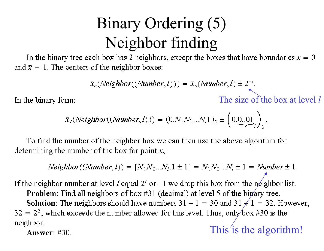## Binary Ordering (5) Neighbor finding

In the binary tree each box has 2 neighbors, except the boxes that have boundaries  $\bar{x} = 0$ and  $\bar{x} = 1$ . The centers of the neighbor boxes:

$$
\bar{x}_c(Neighbour((Number, l))) = \bar{x}_c(Number, l) \pm 2^{-l}.
$$

In the binary form:

$$
\bar{x}_c(Neighbour((Number, l))) = (0.N_1N_2...N_l1)_2 \pm \left(0.0...01\right)_2,
$$

To find the number of the neighbor box we can then use the above algorithm for determining the number of the box for point  $\bar{x}_c$ :

$$
Neighbour((Number, l)) = [N_1N_2...N_l.1 \pm 1] = N_1N_2...N_l \pm 1 = Number \pm 1.
$$

If the neighbor number at level l equal  $2^i$  or  $-1$  we drop this box from the neighbor list.

Problem: Find all neighbors of box #31 (decimal) at level 5 of the binary tree. **Solution**: The neighbors should have numbers  $31 - 1 = 30$  and  $31 \neq 1 = 32$ . However,  $32 = 2<sup>5</sup>$ , which exceeds the number allowed for this level. Thus, only/box #30 is the neighbor.

Answer:  $\#30$ .

This is the algorithm!

The size of the box at level  $l$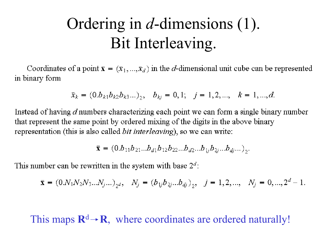#### Ordering in *d*-dimensions (1). Bit Interleaving.

Coordinates of a point  $\bar{\mathbf{x}} = (\bar{x}_1, ..., \bar{x}_d)$  in the d-dimensional unit cube can be represented in binary form

$$
\bar{x}_k = (0.b_{k1}b_{k2}b_{k3}...)_2
$$
,  $b_{kj} = 0, 1$ ;  $j = 1, 2, ..., k = 1, ..., d$ .

Instead of having  $d$  numbers characterizing each point we can form a single binary number that represent the same point by ordered mixing of the digits in the above binary representation (this is also called *bit interleaving*), so we can write:

$$
\bar{\mathbf{x}} = (0.b_{11}b_{21}...b_{d1}b_{12}b_{22}...b_{d2}...b_{1j}b_{2j}...b_{dj}...)
$$

This number can be rewritten in the system with base  $2^d$ :

$$
\bar{\mathbf{x}} = (0.N_1N_2N_3...N_j...)_{2^d}, \quad N_j = (b_{1j}b_{2j}...b_{dj})_2, \quad j = 1, 2, ..., \quad N_j = 0, ..., 2^d - 1.
$$

This maps  $\mathbb{R}^d \rightarrow \mathbb{R}$ , where coordinates are ordered naturally!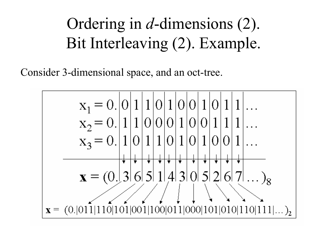## Ordering in *d*-dimensions (2). Bit Interleaving (2). Example.

Consider 3-dimensional space, and an oct-tree.

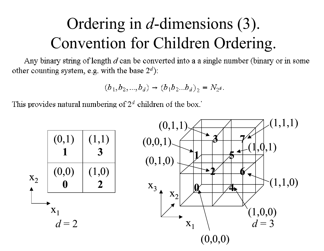## Ordering in *d*-dimensions (3). Convention for Children Ordering.

Any binary string of length  $d$  can be converted into a a single number (binary or in some other counting system, e.g. with the base  $2<sup>d</sup>$ :

$$
(b_1,b_2,...,b_d)\rightarrow (b_1b_2...b_d)_2=N_{2^d}.
$$

This provides natural numbering of  $2^d$  children of the box.

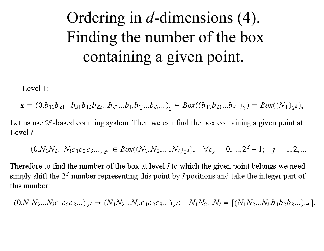## Ordering in  $d$ -dimensions  $(4)$ . Finding the number of the box containing a given point.

Level  $1$ :

$$
\bar{\mathbf{x}} = (0.b_{11}b_{21}...b_{d1}b_{12}b_{22}...b_{d2}...b_{1j}b_{2j}...b_{dj}...)_{2} \in Box((b_{11}b_{21}...b_{d1})_{2}) = Box((N_{1})_{2^{d}}),
$$

Let us use  $2^d$ -based counting system. Then we can find the box containing a given point at Level  $l$ :

$$
(0.N_1N_2...N_l c_1c_2c_3...)_{2^d} \in Box((N_1,N_2,...,N_l)_{2^d}), \quad \forall c_j=0,...,2^d-1; \quad j=1,2,...
$$

Therefore to find the number of the box at level *l* to which the given point belongs we need simply shift the  $2<sup>d</sup>$  number representing this point by *l* positions and take the integer part of this number:

$$
(0.N_1N_2...N_l c_1c_2c_3...)_{2^d} \rightarrow (N_1N_2...N_l.c_1c_2c_3...)_{2^d}; N_1N_2...N_l = [(N_1N_2...N_l.b_1b_2b_3...)_{2^d}]
$$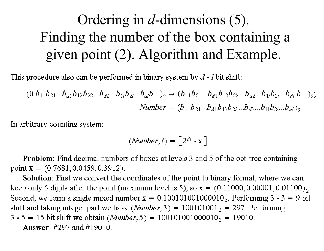#### Ordering in  $d$ -dimensions  $(5)$ . Finding the number of the box containing a given point (2). Algorithm and Example.

This procedure also can be performed in binary system by  $d \cdot l$  bit shift:

In arbitrary counting system:

$$
(Number, l) = \left[2^{dl} \cdot \overline{\mathbf{x}}\right].
$$

Problem: Find decimal numbers of boxes at levels 3 and 5 of the oct-tree containing point  $\bar{x} = (0.7681, 0.0459, 0.3912)$ .

Solution: First we convert the coordinates of the point to binary format, where we can keep only 5 digits after the point (maximum level is 5), so  $\bar{x} = (0.11000, 0.00001, 0.01100)_{2}$ . Second, we form a single mixed number  $\bar{x} = 0.100101001000010_2$ . Performing  $3 \cdot 3 = 9$  bit shift and taking integer part we have  $(Number, 3) = 100101001_2 = 297$ . Performing  $3 \cdot 5 = 15$  bit shift we obtain (*Number*, 5) = 100101001000010<sub>2</sub> = 19010. Answer:  $\#297$  and  $\#19010$ .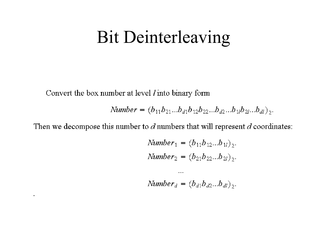#### **Bit Deinterleaving**

Convert the box number at level *l* into binary form

Number =  $(b_{11}b_{21}...b_{d1}b_{12}b_{22}...b_{d2}...b_{1l}b_{2l}...b_{dl})$ 

Then we decompose this number to  $d$  numbers that will represent  $d$  coordinates:

 $Number_1 = (b_{11}b_{12}...b_{1l})_2.$  $Number_2 = (b_{21}b_{22}...b_{2l})_2.$ 

 $Number_d = (b_{d1}b_{d2}...b_{dl})_2.$ 

 $\cdots$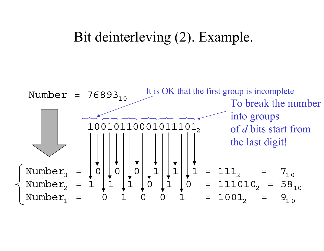#### Bit deinterleving (2). Example.

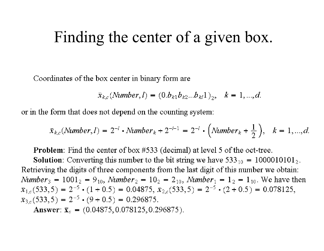#### Finding the center of a given box.

Coordinates of the box center in binary form are

$$
\bar{x}_{k,c}(\text{Number},l)=(0.b_{k1}b_{k2}...b_{kl}1)_{2}, \quad k=1,...,d.
$$

or in the form that does not depend on the counting system:

$$
\bar{x}_{k,c}(\text{Number},l) = 2^{-l} \cdot \text{Number}_k + 2^{-l-1} = 2^{-l} \cdot \left(\text{Number}_k + \frac{1}{2}\right), \quad k = 1,...,d.
$$

**Problem**: Find the center of box  $\#533$  (decimal) at level 5 of the oct-tree.

**Solution**: Converting this number to the bit string we have  $533_{10} = 1000010101_2$ . Retrieving the digits of three components from the last digit of this number we obtain:  $Number_3 = 1001_2 = 9_{10}$ ,  $Number_2 = 10_2 = 2_{10}$ ,  $Number_1 = 1_2 = 1_{10}$ . We have then  $\bar{x}_{1,c}(533,5) = 2^{-5} \cdot (1+0.5) = 0.04875$ ,  $\bar{x}_{2,c}(533,5) = 2^{-5} \cdot (2+0.5) = 0.078125$ ,  $\bar{x}_{3,c}(533,5) = 2^{-5} \cdot (9 + 0.5) = 0.296875.$ Answer:  $\bar{x}_c = (0.04875, 0.078125, 0.296875)$ .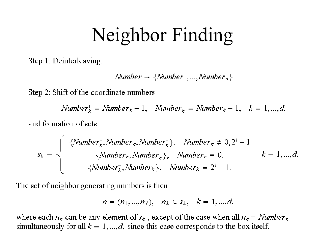## Neighbor Finding

Step 1: Deinterleaving:

$$
Number \rightarrow \{Number_1, ..., Number_d\}
$$

Step 2: Shift of the coordinate numbers

 $Number_k^+ = Number_k + 1$ ,  $Number_k^- = Number_k - 1$ ,  $k = 1, ..., d$ , and formation of sets:

$$
s_k = \begin{cases} {\{Number_k^-,Number_k^-,Number_k^+\}, & Number_k \neq 0, 2^l - 1 \\ {\{Number_k,Number_k^+\}, & Number_k = 0, \\ {\{Number_k^-,Number_k\}, & Number_k = 2^l - 1.} \end{cases} k = 1, ..., d.
$$

The set of neighbor generating numbers is then

$$
n = (n_1, ..., n_d), \quad n_k \in s_k, \quad k = 1, ..., d.
$$

where each  $n_k$  can be any element of  $s_k$ , except of the case when all  $n_k =$  Number<sub>k</sub> simultaneously for all  $k = 1, ..., d$ , since this case corresponds to the box itself.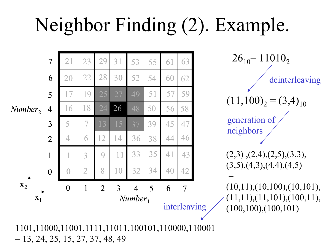# Neighbor Finding (2). Example.

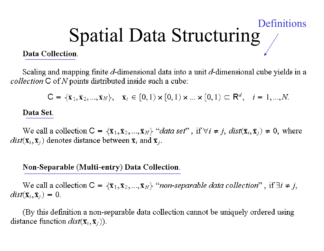#### Definitions Spatial Data Structuring Data Collection.

Scaling and mapping finite d-dimensional data into a unit d-dimensional cube yields in a  $collection \, \text{C}$  of N points distributed inside such a cube:

 $C = {\{\bar{x}_1, \bar{x}_2, ..., \bar{x}_N\}}, \quad \bar{x}_i \in [0,1) \times [0,1) \times ... \times [0,1) \subset \mathbb{R}^d, \quad i = 1,...,N.$ 

#### Data Set.

We call a collection  $C = {\mathbf{x}_1, \mathbf{x}_2, ..., \mathbf{x}_N}$  "data set", if  $\forall i \neq j$ , dist $(\mathbf{x}_i, \mathbf{x}_j) \neq 0$ , where  $dist(\bar{\mathbf{x}}_i, \bar{\mathbf{x}}_i)$  denotes distance between  $\bar{\mathbf{x}}_i$  and  $\bar{\mathbf{x}}_i$ .

#### Non-Separable (Multi-entry) Data Collection.

We call a collection  $C = {\{\overline{x}_1, \overline{x}_2, ..., \overline{x}_N\}}$  "non-separable data collection", if  $\exists i \neq j$ ,  $dist(\overline{\mathbf{x}}_i, \overline{\mathbf{x}}_j) = 0.$ 

(By this definition a non-separable data collection cannot be uniquely ordered using distance function  $dist(\bar{\mathbf{x}}_i, \bar{\mathbf{x}}_j)$ .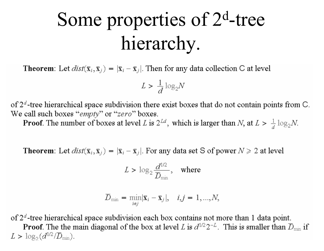# Some properties of 2<sup>d</sup>-tree hierarchy.

**Theorem:** Let  $dist(\bar{\mathbf{x}}_i, \bar{\mathbf{x}}_j) = |\bar{\mathbf{x}}_i - \bar{\mathbf{x}}_j|$ . Then for any data collection C at level

$$
L > \frac{1}{d} \log_2 N
$$

of  $2^d$ -tree hierarchical space subdivision there exist boxes that do not contain points from C. We call such boxes "empty" or "zero" boxes.

**Proof.** The number of boxes at level L is  $2^{Ld}$ , which is larger than N, at  $L > \frac{1}{d} \log_2 N$ .

**Theorem:** Let  $dist(\bar{\mathbf{x}}_i, \bar{\mathbf{x}}_j) = |\bar{\mathbf{x}}_i - \bar{\mathbf{x}}_j|$ . For any data set S of power  $N \ge 2$  at level

$$
L > \log_2 \frac{d^{1/2}}{D_{\min}}, \quad \text{where}
$$

$$
\overline{D}_{\min} = \min_{i \neq j} |\overline{\mathbf{x}}_i - \overline{\mathbf{x}}_j|, \quad i,j = 1,...,N,
$$

of  $2^d$ -tree hierarchical space subdivision each box contains not more than 1 data point. **Proof.** The the main diagonal of the box at level L is  $d^{1/2}2^{-L}$ . This is smaller than  $\overline{D}_{min}$  if  $L > \log_2(d^{1/2}/\overline{D}_{min}).$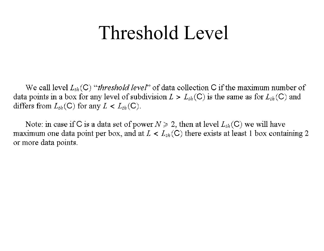## Threshold Level

We call level  $L_{th}(C)$  "*threshold level*" of data collection C if the maximum number of data points in a box for any level of subdivision  $L > L_{th}(C)$  is the same as for  $L_{th}(C)$  and differs from  $L_{th}(C)$  for any  $L < L_{th}(C)$ .

Note: in case if C is a data set of power  $N \ge 2$ , then at level  $L_{th}(C)$  we will have maximum one data point per box, and at  $L < L_{th}(C)$  there exists at least 1 box containing 2 or more data points.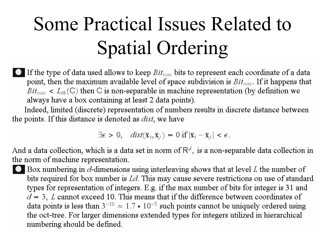# **Some Practical Issues Related to Spatial Ordering**

If the type of data used allows to keep  $Bit_{\text{max}}$  bits to represent each coordinate of a data point, then the maximum available level of space subdivision is  $Bit_{\text{max}}$ . If it happens that  $Bit_{\text{max}}$  <  $L_{th}(C)$  then C is non-separable in machine representation (by definition we always have a box containing at least 2 data points).

Indeed, limited (discrete) representation of numbers results in discrete distance between the points. If this distance is denoted as *dist*, we have

$$
\exists \epsilon > 0, \quad dist(\bar{\mathbf{x}}_i, \bar{\mathbf{x}}_j) = 0 \text{ if } |\bar{\mathbf{x}}_i - \bar{\mathbf{x}}_j| < \epsilon.
$$

And a data collection, which is a data set in norm of  $\mathbb{R}^d$ , is a non-separable data collection in the norm of machine representation.

Box numbering in  $d$ -dimensions using interleaving shows that at level L the number of bits required for box number is  $Ld$ . This may cause severe restrictions on use of standard types for representation of integers. E.g. if the max number of bits for integer is 31 and  $d = 3$ , L cannot exceed 10. This means that if the difference between coordinates of data points is less than  $3^{-10} \approx 1.7 \cdot 10^{-5}$  such points cannot be uniquely ordered using the oct-tree. For larger dimensions extended types for integers utilized in hierarchical numbering should be defined.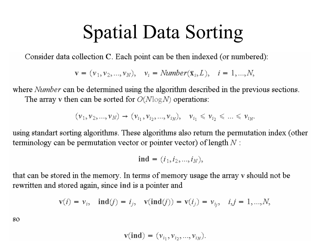## **Spatial Data Sorting**

Consider data collection C. Each point can be then indexed (or numbered):

 $v = (v_1, v_2, ..., v_N), v_i = Number(\bar{x}_i, L), i = 1, ..., N,$ 

where *Number* can be determined using the algorithm described in the previous sections. The array v then can be sorted for  $O(N \log N)$  operations:

$$
(\nu_1, \nu_2, ..., \nu_N) \rightarrow (\nu_{i_1}, \nu_{i_2}, ..., \nu_{i_N}), \quad \nu_{i_1} \leq \nu_{i_2} \leq ... \leq \nu_{i_N}
$$

using standart sorting algorithms. These algorithms also return the permutation index (other terminology can be permutation vector or pointer vector) of length  $N$ :

$$
ind = (i_1, i_2, ..., i_N),
$$

that can be stored in the memory. In terms of memory usage the array v should not be rewritten and stored again, since ind is a pointer and

$$
v(i) = v_i
$$
,  $ind(j) = i_j$ ,  $v(ind(j)) = v(i_j) = v_{i_j}$ ,  $i, j = 1, ..., N$ ,

SO

$$
v(\text{ind}) = (v_{i_1}, v_{i_2}, ..., v_{i_N}).
$$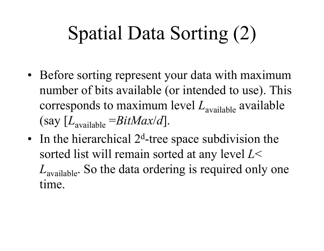# Spatial Data Sorting (2)

- Before sorting represent your data with maximum number of bits available (or intended to use). This corresponds to maximum level *L*available available  $(\text{say } [L_{\text{available}} = \text{BitMax}/d].$
- In the hierarchical 2<sup>d</sup>-tree space subdivision the sorted list will remain sorted at any level *L*< *<sup>L</sup>*available. So the data ordering is required only one time.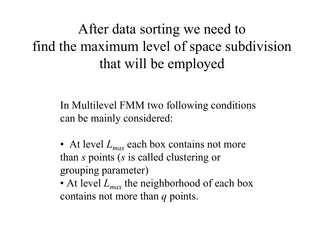#### After data sorting we need to find the maximum level of space subdivision that will be employed

In Multilevel FMM two following conditions can be mainly considered:

- At level  $L_{max}$  each box contains not more than *s* points (*s* is called clustering or grouping parameter)
- At level  $L_{max}$  the neighborhood of each box contains not more than *q* points.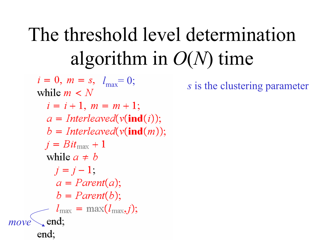#### The threshold level determination algorithm in *O* (*N*) time

 $i = 0, m = s, l_{\text{max}} = 0;$ while  $m \lt N$  $i = i + 1, m = m + 1;$  $a = Interleaved(v(\text{ind}(i));$  $b = Interleaved(v(\text{ind}(m)))$ ;  $j = Bit_{\text{max}} + 1$ while  $a \neq b$  $j = j - 1$ ,  $a = Parent(a);$  $b = Parent(b);$  $l_{\text{max}} = \max(l_{\text{max}}, j);$ end: *move*end:

*s* is the clustering parameter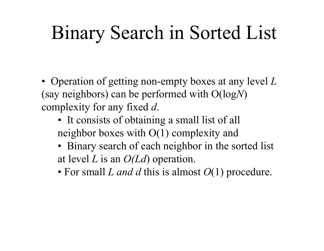## Binary Search in Sorted List

• Operation of getting non-empty boxes at any level *L* (say neighbors) can be performed with O(log*N*) complexity for any fixed *d*.

- It consists of obtaining a small list of all neighbor boxes with O(1) complexity and
- Binary search of each neighbor in the sorted list at level *L* is an *O(Ld*) operation.
- For small *L and d* this is almost *O*(1) procedure.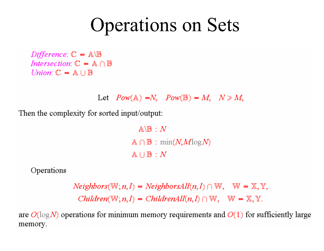## **Operations on Sets**

*Difference*:  $\mathbb{C} = \mathbb{A} \mathbb{B}$ *Intersection*:  $\mathbb{C} = \mathbb{A} \cap \mathbb{B}$ *Union*:  $\mathbb{C} = \mathbb{A} \cup \mathbb{B}$ 

Let  $Pow(A) = N$ ,  $Pow(B) = M$ ,  $N \ge M$ ,

Then the complexity for sorted input/output:

 $\mathbb{A} \setminus \mathbb{B}$  :  $N$  $\mathbb{A}\cap\mathbb{B}:min(N,MlogN)$  $A \cup B : N$ 

Operations

 $Neighbors(W; n, l) = NeighborsAll(n, l) \cap W, \quad W = X, Y,$  $Children(\mathbb{W}; n, l) = ChildrenAll(n, l) \cap \mathbb{W}, \quad \mathbb{W} = \mathbb{X}, \mathbb{Y}.$ 

are  $O(\log N)$  operations for minimum memory requirements and  $O(1)$  for sufficiently large memory.